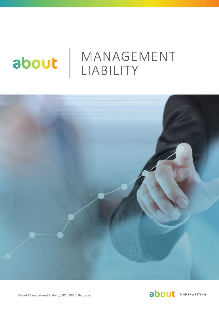# MANAGEMENT about LIABILITY





about Management Liability 2016/05 Proposal │ Page 1 of 11 About Management Liability 2017/06 │ **Proposal**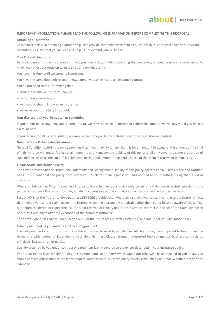

#### **IMPORTANT INFORMATION: PLEASE READ THE FOLLOWING INFORMATION BEFORE COMPLETING THIS PROPOSAL**

#### **Obtaining a Quotation**

To minimise delays in obtaining a quotation please provide complete answers to all questions in this proposal and attach relevant brochures, CVs, etc. that you believe will help us understand your business.

#### **Your Duty of Disclosure**

Before you enter into an insurance contract, you have a duty to tell us anything that you know, or could reasonably be expected to know, may affect our decision to insure you and on what terms.

You have this duty until we agree to insure you.

You have the same duty before you renew, extend, vary or reinstate an insurance contract.

You do not need to tell us anything that:

- reduces the risk we insure you for; or
- is common knowledge; or
- we know or should know as an insurer; or
- we waive your duty to tell us about.

#### **Non-disclosure (if you do not tell us something)**

If you do not tell us anything you are required to, we may cancel your contract or reduce the amount we will pay you if you make a claim, or both.

If your failure to tell us is fraudulent, we may refuse to pay a claim and treat the contract as if it never existed.

#### **Defence Costs & Averaging Provision**

General Conditions within the policy provides that if your liability for any Claim is for an amount in excess of the amount of the limit of liability, then we, under Professional Indemnity and Management Liability of this policy shall only cover the same proportion of such defence costs as the limit of liability bears to the total amount to be paid dispose of the claim (exclusive of defence costs).

#### **Claims Made and Notified Policy**

The cover provided under Professional Indemnity and Management Liability of this policy operates on a 'Claims Made and Notified' basis. This means that the policy only covers you for claims made against you and notified to us in writing during the period of insurance.

Where a 'Retroactive Date' is specified in your policy schedule, your policy only covers any claim made against you during the period of insurance that arises from any conduct, act, error or omission that occurred on or after the Retroactive Date.

Section 40(3) of the *Insurance Contracts Act 1984* (Cth) provides that where an insured gives notice in writing to the insurer of facts that might give rise to a claim against the insured as soon as reasonably practicable after the insured became aware of those facts but before the period of expiry, the insurer is not relieved of liability under the insurance contract in respect of the claim, by reason only that it was made after the expiration of the period of insurance.

The above right arises solely under Section 40(3) of the *Insurance Contracts 1984* (Cth) and not under your insurance policy.

#### **Liability assumed by you under a contract or agreement**

It is not possible for you to transfer to us the entire spectrum of legal liabilities which you may be compelled to bear under the terms of a wide variety of Indemnity and/or Hold Harmless Clauses frequently inserted into commercial business contracts by principals, lessors or other parties.

Liability assumed by you under contract or agreement is only covered to the extent described in your insurance policy.

Prior to accepting legal liability for loss, destruction, damage or injury, which would not otherwise have attached to you at law, you should contact your insurance broker to enquire whether your insurance policy covers such liability or, if not, whether it may be so extended.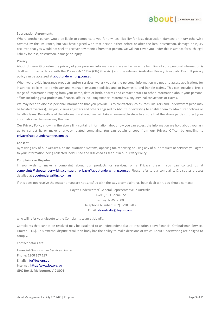# **ADOUT** JUNDERWRITING

#### **Subrogation Agreements**

Where another person would be liable to compensate you for any legal liability for loss, destruction, damage or injury otherwise covered by this insurance, but you have agreed with that person either before or after the loss, destruction, damage or injury occurred that you would not seek to recover any monies from that person, we will not cover you under this insurance for such legal liability for loss, destruction, damage or injury.

#### **Privacy**

About Underwriting value the privacy of your personal information and we will ensure the handling of your personal information is dealt with in accordance with the *Privacy Act 1988* (Cth) (the Act) and the relevant Australian Privacy Principals. Our full privacy policy can be accessed at **aboutunderwriting.com.au** 

When we provide insurance products and/or services, we ask you for the personal information we need to assess applications for insurance policies, to administer and manage insurance policies and to investigate and handle claims. This can include a broad range of information ranging from your name, date of birth, address and contact details to other information about your personal affairs including your profession, financial affairs including financial statements, any criminal convictions or claims.

We may need to disclose personal information that you provide us to contractors, coinsureds, insurers and underwriters (who may be located overseas), lawyers, claims adjusters and others engaged by About Underwriting to enable them to administer policies or handle claims. Regardless of the information shared, we will take all reasonable steps to ensure that the above parties protect your information in the same way that we do.

Our Privacy Policy shown in the above link contains information about how you can access the information we hold about you, ask us to correct it, or make a privacy related complaint. You can obtain a copy from our Privacy Officer by emailing to [privacy@aboutunderwriting.com.au](mailto:privacy@aboutunderwriting.com.au)

#### **Consent**

By visiting any of our websites, online quotation systems, applying for, renewing or using any of our products or services you agree to your information being collected, held, used and disclosed as set out in our Privacy Policy.

#### **Complaints or Disputes**

If you wish to make a complaint about our products or services, or a Privacy breach, you can contact us at [complaints@aboutunderwriting.com.au](mailto:complaints@aboutunderwriting.com.au) or [privacy@aboutunderwriting.com.au](mailto:privacy@aboutunderwriting.com.au) Please refer to our complaints & disputes process detailed at **aboutunderwriting.com.au** 

If this does not resolve the matter or you are not satisfied with the way a complaint has been dealt with, you should contact:

Lloyd's Underwriters' General Representative in Australia Level 9, 1 O'Connell St Sydney NSW 2000 Telephone Number: (02) 8298 0783 Email: [idraustralia@lloyds.com](mailto:idraustralia@lloyds.com)

who will refer your dispute to the Complaints team at Lloyd's.

Complaints that cannot be resolved may be escalated to an independent dispute resolution body; Financial Ombudsman Services Limited (FOS). This external dispute resolution body has the ability to make decisions of which About Underwriting are obliged to comply.

Contact details are:

**Financial Ombudsman Services Limited Phone: 1800 367 287 Email:** [info@fos.org.au](mailto:info@fos.org.au) **Internet:** [http://www.fos.org.au](http://www.fos.org.au/) **GPO Box 3, Melbourne, VIC 3001**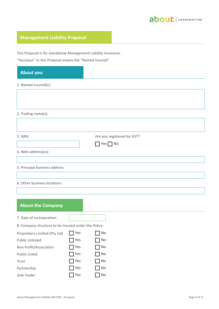

## **Management Liability Proposal**

This Proposal is for standalone Management Liability Insurance.

"You/your" in this Proposal means the "Named Insured".

| <b>About you</b>               |                             |
|--------------------------------|-----------------------------|
| 1. Named insured(s):           |                             |
|                                |                             |
| 2. Trading name(s):            |                             |
|                                |                             |
| 3. ABN:                        | Are you registered for GST? |
|                                | $\Box$ Yes $\Box$ No        |
| 4. Web address(es):            |                             |
| 5. Principal business address: |                             |
| 6. Other business locations:   |                             |
|                                |                             |
| <b>About the Company</b>       |                             |

- 7. Date of Incorporation:
- 8. Company structure to be Insured under the Policy:

| Proprietary Limited (Pty Ltd) | $\Gamma$ Yes | $\Box$ No |
|-------------------------------|--------------|-----------|
| <b>Public Unlisted</b>        | $\Box$ Yes   | $\Box$ No |
| Non Profit/Association        | $\Box$ Yes   | $\Box$ No |
| <b>Public Listed</b>          | $\Box$ Yes   | $\Box$ No |
| Trust                         | $\Box$ Yes   | $\Box$ No |
| Partnership                   | $\Box$ Yes   | $\Box$ No |
| Sole Trader                   | $\Box$ Yes   | $\Box$ No |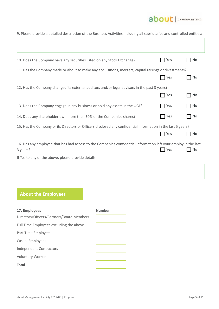

| 9. Please provide a detailed description of the Business Activities including all subsidiaries and controlled entities:     |     |                             |
|-----------------------------------------------------------------------------------------------------------------------------|-----|-----------------------------|
|                                                                                                                             |     |                             |
| 10. Does the Company have any securities listed on any Stock Exchange?                                                      | Yes | <b>No</b>                   |
| 11. Has the Company made or about to make any acquisitions, mergers, capital raisings or divestments?                       |     |                             |
|                                                                                                                             | Yes | No                          |
| 12. Has the Company changed its external auditors and/or legal advisors in the past 3 years?                                |     |                             |
|                                                                                                                             | Yes | No                          |
| 13. Does the Company engage in any business or hold any assets in the USA?                                                  | Yes | No                          |
| 14. Does any shareholder own more than 50% of the Companies shares?                                                         | Yes | $\overline{\phantom{a}}$ No |
| 15. Has the Company or its Directors or Officers disclosed any confidential information in the last 5 years?                |     |                             |
|                                                                                                                             | Yes | No                          |
| 16. Has any employee that has had access to the Companies confidential information left your employ in the last<br>3 years? | Yes | No                          |
| If Yes to any of the above, please provide details:                                                                         |     |                             |

## **About the Employees**

| 17. Employees                             | Number |
|-------------------------------------------|--------|
| Directors/Officers/Partners/Board Members |        |
| Full Time Employees excluding the above   |        |
| Part Time Employees                       |        |
| <b>Casual Employees</b>                   |        |
| <b>Independent Contractors</b>            |        |
| <b>Voluntary Workers</b>                  |        |
| Total                                     |        |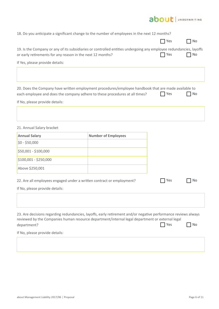

| 18. Do you anticipate a significant change to the number of employees in the next 12 months?                                                                                                                                     |                            |            |                             |
|----------------------------------------------------------------------------------------------------------------------------------------------------------------------------------------------------------------------------------|----------------------------|------------|-----------------------------|
|                                                                                                                                                                                                                                  |                            | <b>Yes</b> | $\blacksquare$ No           |
| 19. Is the Company or any of its subsidiaries or controlled entities undergoing any employee redundancies, layoffs<br>or early retirements for any reason in the next 12 months?                                                 |                            | Yes        | $\overline{\phantom{a}}$ No |
| If Yes, please provide details:                                                                                                                                                                                                  |                            |            |                             |
|                                                                                                                                                                                                                                  |                            |            |                             |
| 20. Does the Company have written employment procedures/employee handbook that are made available to<br>each employee and does the company adhere to these procedures at all times?                                              |                            | Yes        | No                          |
| If No, please provide details:                                                                                                                                                                                                   |                            |            |                             |
|                                                                                                                                                                                                                                  |                            |            |                             |
| 21. Annual Salary bracket                                                                                                                                                                                                        |                            |            |                             |
| <b>Annual Salary</b>                                                                                                                                                                                                             | <b>Number of Employees</b> |            |                             |
| $$0 - $50,000$                                                                                                                                                                                                                   |                            |            |                             |
| \$50,001 - \$100,000                                                                                                                                                                                                             |                            |            |                             |
| \$100,001 - \$250,000                                                                                                                                                                                                            |                            |            |                             |
| Above \$250,001                                                                                                                                                                                                                  |                            |            |                             |
| 22. Are all employees engaged under a written contract or employment?<br>If No, please provide details:                                                                                                                          |                            | Yes        | No                          |
|                                                                                                                                                                                                                                  |                            |            |                             |
| 23. Are decisions regarding redundancies, layoffs, early retirement and/or negative performance reviews always<br>reviewed by the Companies human resource department/internal legal department or external legal<br>department? |                            | Yes        | No                          |
| If No, please provide details:                                                                                                                                                                                                   |                            |            |                             |
|                                                                                                                                                                                                                                  |                            |            |                             |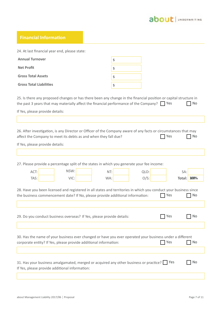

# **Financial Information**

| <b>Annual Turnover</b>                                                                                                                                                                                                | \$         |                 |                       |
|-----------------------------------------------------------------------------------------------------------------------------------------------------------------------------------------------------------------------|------------|-----------------|-----------------------|
|                                                                                                                                                                                                                       |            |                 |                       |
| <b>Net Profit</b>                                                                                                                                                                                                     | \$         |                 |                       |
| <b>Gross Total Assets</b>                                                                                                                                                                                             | \$         |                 |                       |
| <b>Gross Total Liabilities</b>                                                                                                                                                                                        | \$         |                 |                       |
| 25. Is there any proposed changes or has there been any change in the financial position or capital structure in<br>the past 3 years that may materially affect the financial performance of the Company? $\Box$ Yes  |            |                 | No                    |
| If Yes, please provide details:                                                                                                                                                                                       |            |                 |                       |
|                                                                                                                                                                                                                       |            |                 |                       |
| 26. After investigation, is any Director or Officer of the Company aware of any facts or circumstances that may<br>affect the Company to meet its debts as and when they fall due?<br>If Yes, please provide details: |            |                 | Yes<br>No             |
|                                                                                                                                                                                                                       |            |                 |                       |
| 27. Please provide a percentage split of the states in which you generate your fee income:<br>NSW:<br>ACT:<br>TAS:<br>VIC:                                                                                            | NT:<br>WA: | QLD:<br>$O/S$ : | SA:<br>100%<br>Total: |
| 28. Have you been licensed and registered in all states and territories in which you conduct your business since<br>the business commencement date? If No, please provide additional information:                     |            |                 | No<br>Yes             |
|                                                                                                                                                                                                                       |            |                 |                       |
| 29. Do you conduct business overseas? If Yes, please provide details:                                                                                                                                                 |            |                 | Yes<br>No             |
|                                                                                                                                                                                                                       |            |                 |                       |
| 30. Has the name of your business ever changed or have you ever operated your business under a different<br>corporate entity? If Yes, please provide additional information:                                          |            |                 | Yes<br>No             |
|                                                                                                                                                                                                                       |            |                 |                       |
|                                                                                                                                                                                                                       |            |                 |                       |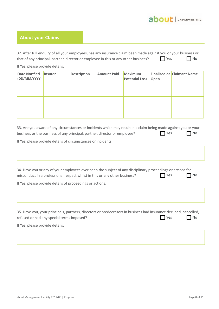

### **About your Claims**

32. After full enquiry of all your employees, has any insurance claim been made against you or your business or that of any principal, partner, director or employee in this or any other business?  $\Box$  Yes  $\Box$  No

If Yes, please provide details:

| <b>Date Notified</b><br>(DD/MM/YYYY) | <b>Insurer</b> | <b>Description</b> | <b>Amount Paid</b> | Maximum<br><b>Potential Loss Open</b> | <b>Finalised or Claimant Name</b> |
|--------------------------------------|----------------|--------------------|--------------------|---------------------------------------|-----------------------------------|
|                                      |                |                    |                    |                                       |                                   |
|                                      |                |                    |                    |                                       |                                   |
|                                      |                |                    |                    |                                       |                                   |
|                                      |                |                    |                    |                                       |                                   |
|                                      |                |                    |                    |                                       |                                   |

| 33. Are you aware of any circumstances or incidents which may result in a claim being made against you or your |                       |           |
|----------------------------------------------------------------------------------------------------------------|-----------------------|-----------|
| business or the business of any principal, partner, director or employee?                                      | <b>Paragraphy</b> Yes | $\Box$ No |
| tin March (a la casa a casa televididad) de la canta de la casa de la casa de la catala de la casa de la casa  |                       |           |

If Yes, please provide details of circumstances or incidents:

| 34. Have you or any of your employees ever been the subject of any disciplinary proceedings or actions for |     |           |
|------------------------------------------------------------------------------------------------------------|-----|-----------|
| misconduct in a professional respect whilst in this or any other business?                                 | Yes | $\Box$ No |

If Yes, please provide details of proceedings or actions:

35. Have you, your principals, partners, directors or predecessors in business had insurance declined, cancelled, refused or had any special terms imposed?  $\Box$  Yes  $\Box$  No

If Yes, please provide details: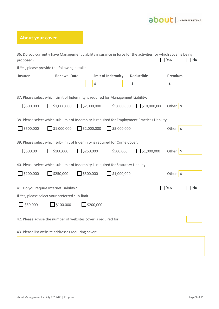# about | UNDERWRITING

| <b>About your cover</b> |                                                                                     |                                       |                           |                                                                                                               |                  |    |
|-------------------------|-------------------------------------------------------------------------------------|---------------------------------------|---------------------------|---------------------------------------------------------------------------------------------------------------|------------------|----|
| proposed?               |                                                                                     |                                       |                           | 36. Do you currently have Management Liability insurance in force for the activities for which cover is being | Yes              | No |
|                         | If Yes, please provide the following details:                                       |                                       |                           |                                                                                                               |                  |    |
| <b>Insurer</b>          | <b>Renewal Date</b>                                                                 |                                       | <b>Limit of Indemnity</b> | <b>Deductible</b>                                                                                             | Premium          |    |
|                         |                                                                                     | \$                                    |                           | \$                                                                                                            | \$               |    |
|                         | 37. Please select which Limit of Indemnity is required for Management Liability:    |                                       |                           |                                                                                                               |                  |    |
| 5500,000                | $\bigcap$ \$1,000,000                                                               | $\frac{1}{2}$ \$2,000,000 \$5,000,000 |                           | 510,000,000                                                                                                   | Other $\sqrt{s}$ |    |
|                         |                                                                                     |                                       |                           | 38. Please select which sub-limit of Indemnity is required for Employment Practices Liability:                |                  |    |
| \$500,000               | $\Box$ \$1,000,000                                                                  | 52,000,000                            | 55,000,000                |                                                                                                               | Other $\sqrt{s}$ |    |
|                         | 39. Please select which sub-limit of Indemnity is required for Crime Cover:         |                                       |                           |                                                                                                               |                  |    |
| $\frac{1}{2}$ \$500,00  | $\bigcap$ \$100,000                                                                 | $\frac{1}{2}$ \$250,000               | 5500,000                  | $\sqrt{51,000,000}$                                                                                           | Other $\sqrt{s}$ |    |
|                         | 40. Please select which sub-limit of Indemnity is required for Statutory Liability: |                                       |                           |                                                                                                               |                  |    |
| $\frac{1}{2}$ \$100,000 | $\frac{1}{2}$ \$250,000                                                             | 5500,000                              | 51,000,000                |                                                                                                               | Other $\sqrt{s}$ |    |
|                         | 41. Do you require Internet Liability?                                              |                                       |                           |                                                                                                               | Yes              | No |
|                         | If Yes, please select your preferred sub-limit:                                     |                                       |                           |                                                                                                               |                  |    |
| \$50,000                | $\frac{1}{2}$ \$100,000                                                             | \$200,000                             |                           |                                                                                                               |                  |    |
|                         | 42. Please advise the number of websites cover is required for:                     |                                       |                           |                                                                                                               |                  |    |
|                         | 43. Please list website addresses requiring cover:                                  |                                       |                           |                                                                                                               |                  |    |
|                         |                                                                                     |                                       |                           |                                                                                                               |                  |    |
|                         |                                                                                     |                                       |                           |                                                                                                               |                  |    |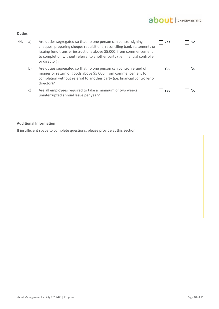# about | UNDERWRITING

### **Duties**

| 44. | a) | Are duties segregated so that no one person can control signing<br>cheques, preparing cheque requisitions, reconciling bank statements or<br>issuing fund transfer instructions above \$5,000, from commencement<br>to completion without referral to another party (i.e. financial controller<br>or director)? | Yes | No. |
|-----|----|-----------------------------------------------------------------------------------------------------------------------------------------------------------------------------------------------------------------------------------------------------------------------------------------------------------------|-----|-----|
|     | b) | Are duties segregated so that no one person can control refund of<br>monies or return of goods above \$5,000, from commencement to<br>completion without referral to another party (i.e. financial controller or<br>director)?                                                                                  | Yes | No. |
|     | C) | Are all employees required to take a minimum of two weeks<br>uninterrupted annual leave per year?                                                                                                                                                                                                               | Yes | No. |

### **Additional Information**

If insufficient space to complete questions, please provide at this section: